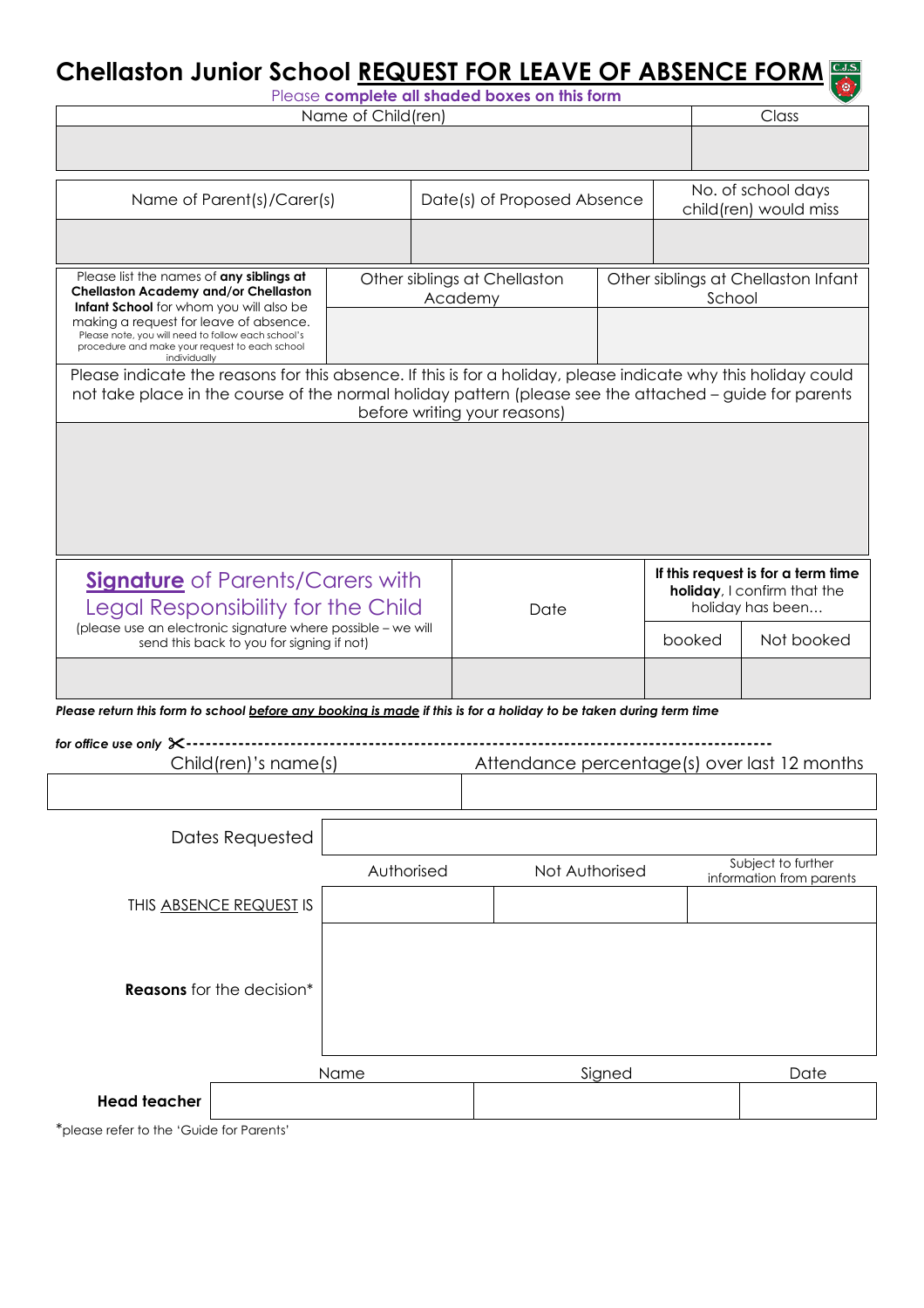## **Chellaston Junior School REQUEST FOR LEAVE OF ABSENCE FORM**

| Please complete all shaded boxes on this form                                                                                                                                                                             |            |                             |                                              |  |                                               |                       |                                                |  |
|---------------------------------------------------------------------------------------------------------------------------------------------------------------------------------------------------------------------------|------------|-----------------------------|----------------------------------------------|--|-----------------------------------------------|-----------------------|------------------------------------------------|--|
| Name of Child(ren)                                                                                                                                                                                                        |            |                             |                                              |  |                                               |                       | Class                                          |  |
|                                                                                                                                                                                                                           |            |                             |                                              |  |                                               |                       |                                                |  |
| Name of Parent(s)/Carer(s)                                                                                                                                                                                                |            | Date(s) of Proposed Absence |                                              |  |                                               | No. of school days    |                                                |  |
|                                                                                                                                                                                                                           |            |                             |                                              |  |                                               | child(ren) would miss |                                                |  |
|                                                                                                                                                                                                                           |            |                             |                                              |  |                                               |                       |                                                |  |
| Please list the names of any siblings at<br><b>Chellaston Academy and/or Chellaston</b><br>Infant School for whom you will also be                                                                                        | Academy    |                             | Other siblings at Chellaston                 |  | Other siblings at Chellaston Infant<br>School |                       |                                                |  |
| making a request for leave of absence.<br>Please note, you will need to follow each school's<br>procedure and make your request to each school<br>individually                                                            |            |                             |                                              |  |                                               |                       |                                                |  |
| Please indicate the reasons for this absence. If this is for a holiday, please indicate why this holiday could<br>not take place in the course of the normal holiday pattern (please see the attached – guide for parents |            |                             |                                              |  |                                               |                       |                                                |  |
|                                                                                                                                                                                                                           |            |                             | before writing your reasons)                 |  |                                               |                       |                                                |  |
|                                                                                                                                                                                                                           |            |                             |                                              |  |                                               |                       |                                                |  |
|                                                                                                                                                                                                                           |            |                             |                                              |  |                                               |                       |                                                |  |
|                                                                                                                                                                                                                           |            |                             |                                              |  |                                               |                       |                                                |  |
|                                                                                                                                                                                                                           |            |                             |                                              |  |                                               |                       |                                                |  |
|                                                                                                                                                                                                                           |            |                             |                                              |  |                                               |                       |                                                |  |
| <b>Signature</b> of Parents/Carers with                                                                                                                                                                                   |            |                             |                                              |  | If this request is for a term time            |                       |                                                |  |
|                                                                                                                                                                                                                           |            |                             | Date                                         |  | holiday, I confirm that the                   |                       |                                                |  |
| Legal Responsibility for the Child<br>(please use an electronic signature where possible - we will                                                                                                                        |            |                             |                                              |  | holiday has been                              |                       |                                                |  |
| send this back to you for signing if not)                                                                                                                                                                                 |            |                             |                                              |  | booked                                        |                       | Not booked                                     |  |
|                                                                                                                                                                                                                           |            |                             |                                              |  |                                               |                       |                                                |  |
| Please return this form to school before any booking is made if this is for a holiday to be taken during term time                                                                                                        |            |                             |                                              |  |                                               |                       |                                                |  |
| for office use only $\times$ -                                                                                                                                                                                            |            |                             |                                              |  |                                               |                       |                                                |  |
| Child(ren)'s name(s)                                                                                                                                                                                                      |            |                             | Attendance percentage(s) over last 12 months |  |                                               |                       |                                                |  |
|                                                                                                                                                                                                                           |            |                             |                                              |  |                                               |                       |                                                |  |
|                                                                                                                                                                                                                           |            |                             |                                              |  |                                               |                       |                                                |  |
| Dates Requested                                                                                                                                                                                                           |            |                             |                                              |  |                                               |                       |                                                |  |
|                                                                                                                                                                                                                           | Authorised |                             | Not Authorised                               |  |                                               |                       | Subject to further<br>information from parents |  |
| THIS ABSENCE REQUEST IS                                                                                                                                                                                                   |            |                             |                                              |  |                                               |                       |                                                |  |
|                                                                                                                                                                                                                           |            |                             |                                              |  |                                               |                       |                                                |  |
|                                                                                                                                                                                                                           |            |                             |                                              |  |                                               |                       |                                                |  |
| <b>Reasons</b> for the decision*                                                                                                                                                                                          |            |                             |                                              |  |                                               |                       |                                                |  |
|                                                                                                                                                                                                                           |            |                             |                                              |  |                                               |                       |                                                |  |
|                                                                                                                                                                                                                           |            |                             |                                              |  |                                               |                       |                                                |  |
|                                                                                                                                                                                                                           |            |                             | Signed                                       |  |                                               |                       |                                                |  |
| Name                                                                                                                                                                                                                      |            |                             |                                              |  |                                               |                       | Date                                           |  |
| <b>Head teacher</b>                                                                                                                                                                                                       |            |                             |                                              |  |                                               |                       |                                                |  |

\*please refer to the 'Guide for Parents'